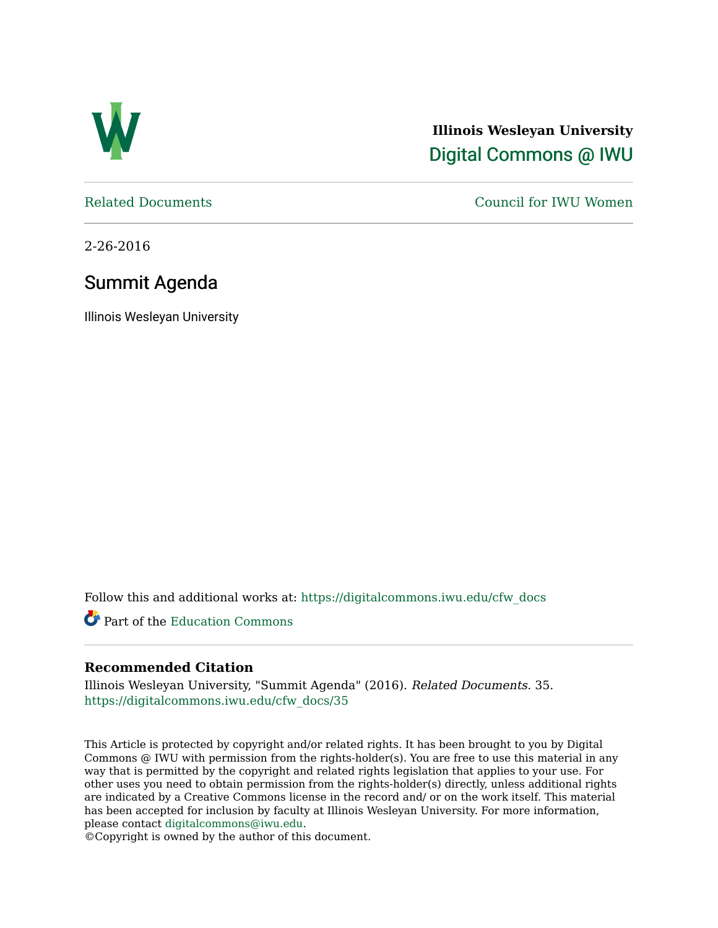

**Illinois Wesleyan University**  [Digital Commons @ IWU](https://digitalcommons.iwu.edu/) 

[Related Documents](https://digitalcommons.iwu.edu/cfw_docs) [Council for IWU Women](https://digitalcommons.iwu.edu/alumni_cfw) 

2-26-2016

# Summit Agenda

Illinois Wesleyan University

Follow this and additional works at: [https://digitalcommons.iwu.edu/cfw\\_docs](https://digitalcommons.iwu.edu/cfw_docs?utm_source=digitalcommons.iwu.edu%2Fcfw_docs%2F35&utm_medium=PDF&utm_campaign=PDFCoverPages) 

Part of the [Education Commons](http://network.bepress.com/hgg/discipline/784?utm_source=digitalcommons.iwu.edu%2Fcfw_docs%2F35&utm_medium=PDF&utm_campaign=PDFCoverPages)

# **Recommended Citation**

Illinois Wesleyan University, "Summit Agenda" (2016). Related Documents. 35. [https://digitalcommons.iwu.edu/cfw\\_docs/35](https://digitalcommons.iwu.edu/cfw_docs/35?utm_source=digitalcommons.iwu.edu%2Fcfw_docs%2F35&utm_medium=PDF&utm_campaign=PDFCoverPages)

This Article is protected by copyright and/or related rights. It has been brought to you by Digital Commons @ IWU with permission from the rights-holder(s). You are free to use this material in any way that is permitted by the copyright and related rights legislation that applies to your use. For other uses you need to obtain permission from the rights-holder(s) directly, unless additional rights are indicated by a Creative Commons license in the record and/ or on the work itself. This material has been accepted for inclusion by faculty at Illinois Wesleyan University. For more information, please contact [digitalcommons@iwu.edu.](mailto:digitalcommons@iwu.edu)

©Copyright is owned by the author of this document.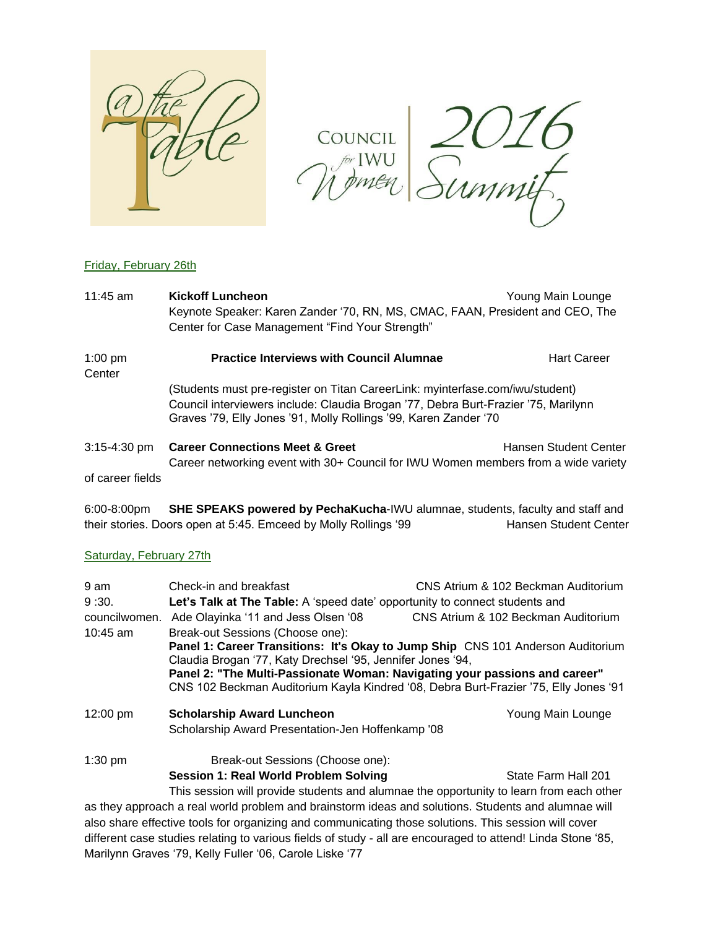

COUNCIL 2016

# Friday, February 26th

| $11:45$ am          | <b>Kickoff Luncheon</b><br>Keynote Speaker: Karen Zander '70, RN, MS, CMAC, FAAN, President and CEO, The<br>Center for Case Management "Find Your Strength" | Young Main Lounge                                                                                                                                                   |  |
|---------------------|-------------------------------------------------------------------------------------------------------------------------------------------------------------|---------------------------------------------------------------------------------------------------------------------------------------------------------------------|--|
| $1:00$ pm<br>Center | <b>Practice Interviews with Council Alumnae</b>                                                                                                             | <b>Hart Career</b>                                                                                                                                                  |  |
|                     | Graves '79, Elly Jones '91, Molly Rollings '99, Karen Zander '70                                                                                            | (Students must pre-register on Titan CareerLink: myinterfase.com/iwu/student)<br>Council interviewers include: Claudia Brogan '77, Debra Burt-Frazier '75, Marilynn |  |
| $3:15 - 4:30$ pm    | <b>Career Connections Meet &amp; Greet</b><br>Career networking event with 30+ Council for IWU Women members from a wide variety                            | Hansen Student Center                                                                                                                                               |  |
| of career fields    |                                                                                                                                                             |                                                                                                                                                                     |  |

6:00-8:00pm **SHE SPEAKS powered by PechaKucha**-IWU alumnae, students, faculty and staff and their stories. Doors open at 5:45. Emceed by Molly Rollings '99 Hansen Student Center

### Saturday, February 27th

| 9 am          | Check-in and breakfast                                                                                                                                                                                                      | CNS Atrium & 102 Beckman Auditorium |  |  |
|---------------|-----------------------------------------------------------------------------------------------------------------------------------------------------------------------------------------------------------------------------|-------------------------------------|--|--|
| 9:30.         | Let's Talk at The Table: A 'speed date' opportunity to connect students and                                                                                                                                                 |                                     |  |  |
| councilwomen. | Ade Olayinka '11 and Jess Olsen '08                                                                                                                                                                                         | CNS Atrium & 102 Beckman Auditorium |  |  |
| 10:45 am      | Break-out Sessions (Choose one):                                                                                                                                                                                            |                                     |  |  |
|               | Panel 1: Career Transitions: It's Okay to Jump Ship CNS 101 Anderson Auditorium<br>Claudia Brogan '77, Katy Drechsel '95, Jennifer Jones '94,<br>Panel 2: "The Multi-Passionate Woman: Navigating your passions and career" |                                     |  |  |
|               |                                                                                                                                                                                                                             |                                     |  |  |
|               | CNS 102 Beckman Auditorium Kayla Kindred '08, Debra Burt-Frazier '75, Elly Jones '91                                                                                                                                        |                                     |  |  |
| 12:00 pm      | <b>Scholarship Award Luncheon</b>                                                                                                                                                                                           | Young Main Lounge                   |  |  |
|               | Scholarship Award Presentation-Jen Hoffenkamp '08                                                                                                                                                                           |                                     |  |  |
| $1:30$ pm     | Break-out Sessions (Choose one):                                                                                                                                                                                            |                                     |  |  |
|               | <b>Session 1: Real World Problem Solving</b>                                                                                                                                                                                | State Farm Hall 201                 |  |  |
|               | This session will provide students and alumnae the opportunity to learn from each other                                                                                                                                     |                                     |  |  |
|               | as they approach a real world problem and brainstorm ideas and solutions. Students and alumnae will                                                                                                                         |                                     |  |  |
|               | also share effective tools for organizing and communicating those solutions. This session will cover                                                                                                                        |                                     |  |  |
|               | different case studies relating to various fields of study - all are encouraged to attend! Linda Stone '85,                                                                                                                 |                                     |  |  |
|               | Marilynn Graves '79, Kelly Fuller '06, Carole Liske '77                                                                                                                                                                     |                                     |  |  |